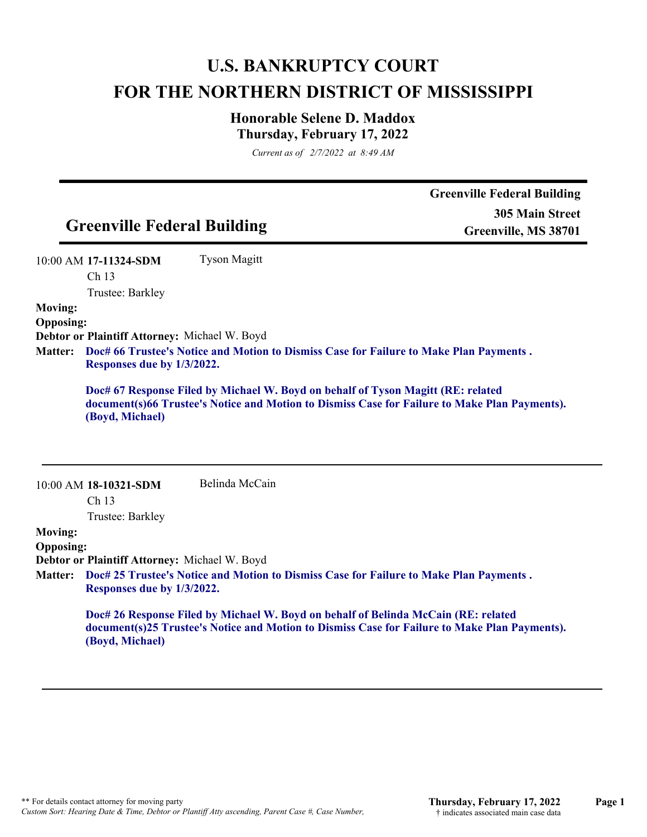## **U.S. BANKRUPTCY COURT FOR THE NORTHERN DISTRICT OF MISSISSIPPI**

## **Honorable Selene D. Maddox Thursday, February 17, 2022**

*Current as of 2/7/2022 at 8:49 AM*

|                                    |                                               |                                                                                                                                                                                   | <b>Greenville Federal Building</b> |
|------------------------------------|-----------------------------------------------|-----------------------------------------------------------------------------------------------------------------------------------------------------------------------------------|------------------------------------|
|                                    |                                               |                                                                                                                                                                                   | <b>305 Main Street</b>             |
|                                    | <b>Greenville Federal Building</b>            |                                                                                                                                                                                   | Greenville, MS 38701               |
|                                    | 10:00 AM 17-11324-SDM                         | <b>Tyson Magitt</b>                                                                                                                                                               |                                    |
|                                    | Ch <sub>13</sub>                              |                                                                                                                                                                                   |                                    |
|                                    | Trustee: Barkley                              |                                                                                                                                                                                   |                                    |
| <b>Moving:</b><br><b>Opposing:</b> |                                               |                                                                                                                                                                                   |                                    |
|                                    | Debtor or Plaintiff Attorney: Michael W. Boyd |                                                                                                                                                                                   |                                    |
| <b>Matter:</b>                     | Responses due by 1/3/2022.                    | Doc# 66 Trustee's Notice and Motion to Dismiss Case for Failure to Make Plan Payments.                                                                                            |                                    |
|                                    |                                               |                                                                                                                                                                                   |                                    |
|                                    | (Boyd, Michael)                               | Doc# 67 Response Filed by Michael W. Boyd on behalf of Tyson Magitt (RE: related<br>document(s)66 Trustee's Notice and Motion to Dismiss Case for Failure to Make Plan Payments). |                                    |
|                                    | 10:00 AM 18-10321-SDM                         | Belinda McCain                                                                                                                                                                    |                                    |
|                                    | Ch <sub>13</sub>                              |                                                                                                                                                                                   |                                    |
|                                    | Trustee: Barkley                              |                                                                                                                                                                                   |                                    |
| <b>Moving:</b>                     |                                               |                                                                                                                                                                                   |                                    |
| <b>Opposing:</b>                   |                                               |                                                                                                                                                                                   |                                    |
|                                    | Debtor or Plaintiff Attorney: Michael W. Boyd |                                                                                                                                                                                   |                                    |
| <b>Matter:</b>                     | Responses due by 1/3/2022.                    | Doc# 25 Trustee's Notice and Motion to Dismiss Case for Failure to Make Plan Payments.                                                                                            |                                    |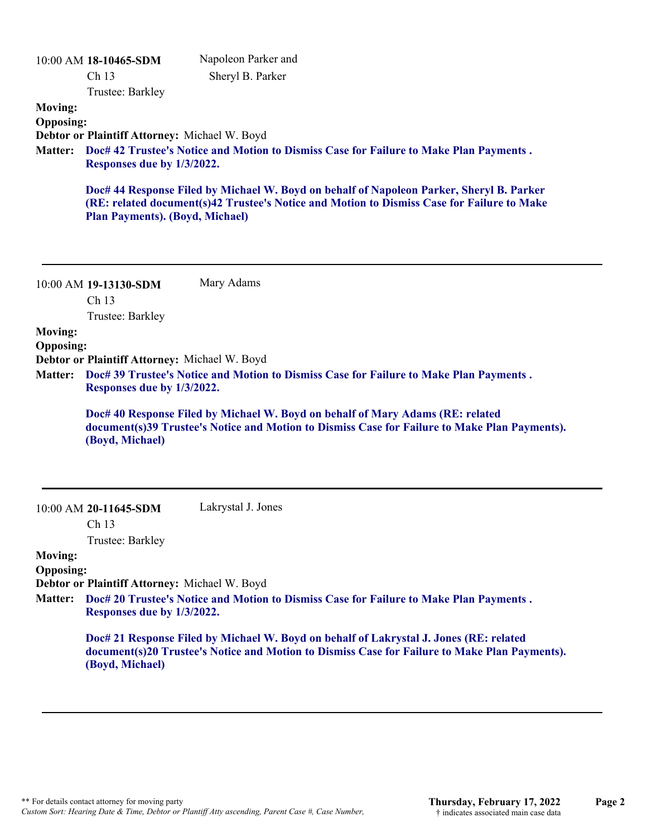| <b>Moving:</b><br><b>Opposing:</b><br><b>Matter:</b> | 10:00 AM 18-10465-SDM<br>Ch 13<br>Trustee: Barkley<br>Debtor or Plaintiff Attorney: Michael W. Boyd<br>Responses due by 1/3/2022. | Napoleon Parker and<br>Sheryl B. Parker<br>Doc# 42 Trustee's Notice and Motion to Dismiss Case for Failure to Make Plan Payments.<br>Doc# 44 Response Filed by Michael W. Boyd on behalf of Napoleon Parker, Sheryl B. Parker |
|------------------------------------------------------|-----------------------------------------------------------------------------------------------------------------------------------|-------------------------------------------------------------------------------------------------------------------------------------------------------------------------------------------------------------------------------|
|                                                      | <b>Plan Payments). (Boyd, Michael)</b>                                                                                            | (RE: related document(s)42 Trustee's Notice and Motion to Dismiss Case for Failure to Make                                                                                                                                    |
|                                                      | 10:00 AM 19-13130-SDM<br>Ch 13                                                                                                    | Mary Adams                                                                                                                                                                                                                    |
| <b>Moving:</b>                                       | Trustee: Barkley                                                                                                                  |                                                                                                                                                                                                                               |
| <b>Opposing:</b>                                     |                                                                                                                                   |                                                                                                                                                                                                                               |
| <b>Matter:</b>                                       | Debtor or Plaintiff Attorney: Michael W. Boyd<br>Responses due by 1/3/2022.                                                       | Doc# 39 Trustee's Notice and Motion to Dismiss Case for Failure to Make Plan Payments.                                                                                                                                        |
|                                                      | (Boyd, Michael)                                                                                                                   | Doc# 40 Response Filed by Michael W. Boyd on behalf of Mary Adams (RE: related<br>document(s)39 Trustee's Notice and Motion to Dismiss Case for Failure to Make Plan Payments).                                               |
|                                                      | 10:00 AM 20-11645-SDM                                                                                                             | Lakrystal J. Jones                                                                                                                                                                                                            |
|                                                      | Ch 13<br>Trustee: Barkley                                                                                                         |                                                                                                                                                                                                                               |
| <b>Moving:</b><br><b>Opposing:</b>                   |                                                                                                                                   |                                                                                                                                                                                                                               |
|                                                      | Debtor or Plaintiff Attorney: Michael W. Boyd<br>Responses due by 1/3/2022.                                                       | Matter: Doc# 20 Trustee's Notice and Motion to Dismiss Case for Failure to Make Plan Payments.                                                                                                                                |
|                                                      |                                                                                                                                   | Doc# 21 Response Filed by Michael W. Boyd on behalf of Lakrystal J. Jones (RE: related                                                                                                                                        |

**document(s)20 Trustee's Notice and Motion to Dismiss Case for Failure to Make Plan Payments). (Boyd, Michael)**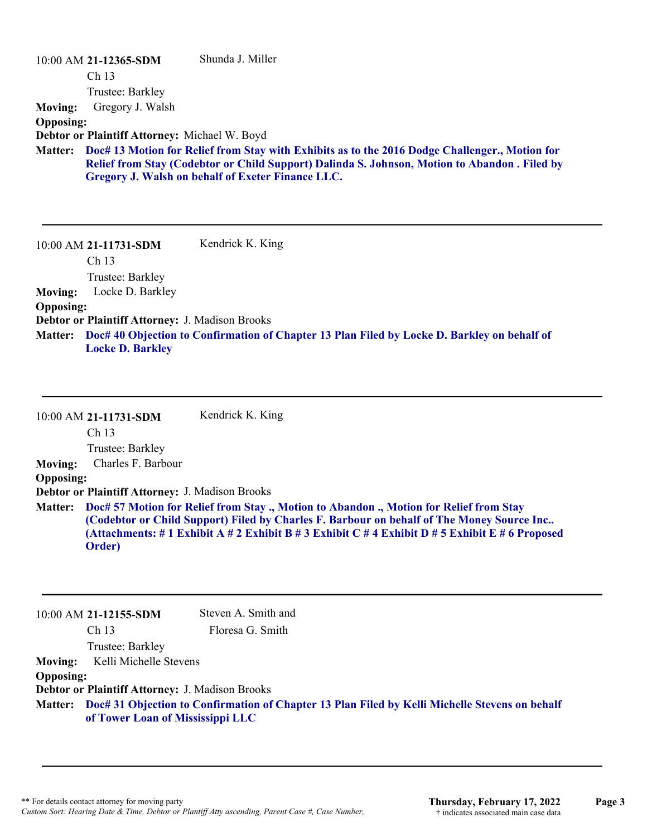| $10:00$ AM 21-12365-SDM                         | Shunda J. Miller                                                                                                                                                                                                                                     |
|-------------------------------------------------|------------------------------------------------------------------------------------------------------------------------------------------------------------------------------------------------------------------------------------------------------|
| Ch <sub>13</sub>                                |                                                                                                                                                                                                                                                      |
| Trustee: Barkley                                |                                                                                                                                                                                                                                                      |
| Gregory J. Walsh<br><b>Moving:</b>              |                                                                                                                                                                                                                                                      |
| <b>Opposing:</b>                                |                                                                                                                                                                                                                                                      |
| Debtor or Plaintiff Attorney: Michael W. Boyd   |                                                                                                                                                                                                                                                      |
| <b>Matter:</b>                                  | Doc# 13 Motion for Relief from Stay with Exhibits as to the 2016 Dodge Challenger., Motion for<br>Relief from Stay (Codebtor or Child Support) Dalinda S. Johnson, Motion to Abandon . Filed by<br>Gregory J. Walsh on behalf of Exeter Finance LLC. |
| 10:00 AM 21-11731-SDM                           | Kendrick K. King                                                                                                                                                                                                                                     |
| Ch <sub>13</sub>                                |                                                                                                                                                                                                                                                      |
| Trustee: Barkley<br>Locke D. Barkley            |                                                                                                                                                                                                                                                      |
| <b>Moving:</b><br><b>Opposing:</b>              |                                                                                                                                                                                                                                                      |
| Debtor or Plaintiff Attorney: J. Madison Brooks |                                                                                                                                                                                                                                                      |
| <b>Matter:</b>                                  | Doc# 40 Objection to Confirmation of Chapter 13 Plan Filed by Locke D. Barkley on behalf of                                                                                                                                                          |
| <b>Locke D. Barkley</b>                         |                                                                                                                                                                                                                                                      |
|                                                 |                                                                                                                                                                                                                                                      |

|                  | 10:00 AM 21-11731-SDM                                  | Kendrick K. King                                                                                                                                                                                                                                                                                 |
|------------------|--------------------------------------------------------|--------------------------------------------------------------------------------------------------------------------------------------------------------------------------------------------------------------------------------------------------------------------------------------------------|
|                  | Ch <sub>13</sub>                                       |                                                                                                                                                                                                                                                                                                  |
|                  | Trustee: Barkley                                       |                                                                                                                                                                                                                                                                                                  |
| <b>Moving:</b>   | Charles F. Barbour                                     |                                                                                                                                                                                                                                                                                                  |
| <b>Opposing:</b> |                                                        |                                                                                                                                                                                                                                                                                                  |
|                  | <b>Debtor or Plaintiff Attorney: J. Madison Brooks</b> |                                                                                                                                                                                                                                                                                                  |
|                  | Order)                                                 | Matter: Doc# 57 Motion for Relief from Stay ., Motion to Abandon ., Motion for Relief from Stay<br>(Codebtor or Child Support) Filed by Charles F. Barbour on behalf of The Money Source Inc<br>(Attachments: # 1 Exhibit A # 2 Exhibit B # 3 Exhibit C # 4 Exhibit D # 5 Exhibit E # 6 Proposed |

|                  | 10:00 AM 21-12155-SDM                                                                                                                      | Steven A. Smith and |
|------------------|--------------------------------------------------------------------------------------------------------------------------------------------|---------------------|
|                  | Ch <sub>13</sub>                                                                                                                           | Floresa G. Smith    |
|                  | Trustee: Barkley                                                                                                                           |                     |
|                  | <b>Moving:</b> Kelli Michelle Stevens                                                                                                      |                     |
| <b>Opposing:</b> |                                                                                                                                            |                     |
|                  | <b>Debtor or Plaintiff Attorney: J. Madison Brooks</b>                                                                                     |                     |
|                  | Matter: Doc# 31 Objection to Confirmation of Chapter 13 Plan Filed by Kelli Michelle Stevens on behalf<br>of Tower Loan of Mississippi LLC |                     |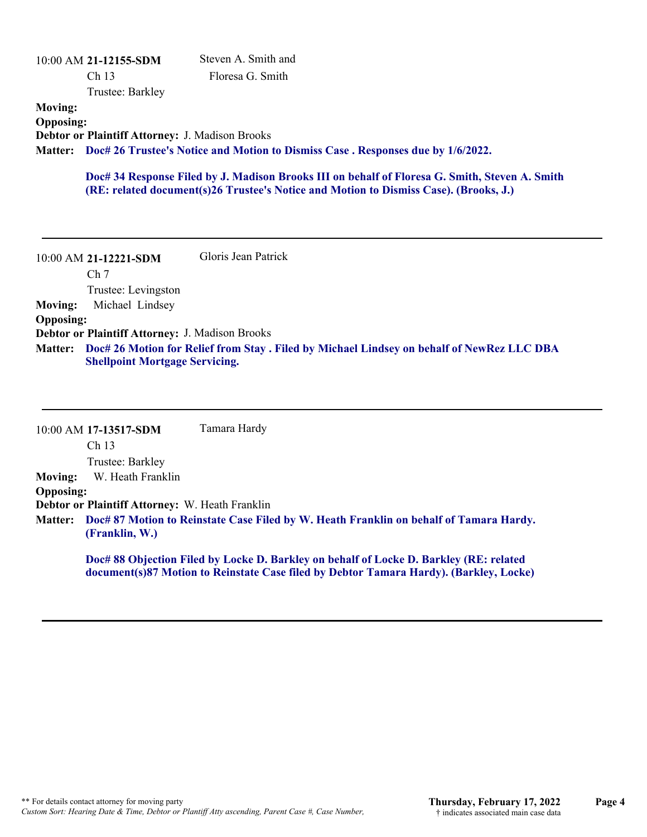|                  | 10:00 AM 21-12155-SDM                                  | Steven A. Smith and                                                                      |
|------------------|--------------------------------------------------------|------------------------------------------------------------------------------------------|
|                  | Ch <sub>13</sub>                                       | Floresa G. Smith                                                                         |
|                  | Trustee: Barkley                                       |                                                                                          |
| <b>Moving:</b>   |                                                        |                                                                                          |
| <b>Opposing:</b> |                                                        |                                                                                          |
|                  | <b>Debtor or Plaintiff Attorney: J. Madison Brooks</b> |                                                                                          |
|                  |                                                        | Matter: Doc# 26 Trustee's Notice and Motion to Dismiss Case . Responses due by 1/6/2022. |
|                  |                                                        |                                                                                          |

**Doc# 34 Response Filed by J. Madison Brooks III on behalf of Floresa G. Smith, Steven A. Smith (RE: related document(s)26 Trustee's Notice and Motion to Dismiss Case). (Brooks, J.)**

10:00 AM **21-12221-SDM**  Ch 7 Trustee: Levingston Gloris Jean Patrick **Moving:** Michael Lindsey **Opposing: Debtor or Plaintiff Attorney:** J. Madison Brooks **Doc# 26 Motion for Relief from Stay . Filed by Michael Lindsey on behalf of NewRez LLC DBA Matter: Shellpoint Mortgage Servicing.**

|                  | 10:00 AM 17-13517-SDM                                                                                            | Tamara Hardy                                                                                                                                                                     |  |
|------------------|------------------------------------------------------------------------------------------------------------------|----------------------------------------------------------------------------------------------------------------------------------------------------------------------------------|--|
|                  | Ch <sub>13</sub>                                                                                                 |                                                                                                                                                                                  |  |
|                  | Trustee: Barkley                                                                                                 |                                                                                                                                                                                  |  |
| <b>Moving:</b>   | W. Heath Franklin                                                                                                |                                                                                                                                                                                  |  |
| <b>Opposing:</b> |                                                                                                                  |                                                                                                                                                                                  |  |
|                  | Debtor or Plaintiff Attorney: W. Heath Franklin                                                                  |                                                                                                                                                                                  |  |
|                  | Matter: Doc# 87 Motion to Reinstate Case Filed by W. Heath Franklin on behalf of Tamara Hardy.<br>(Franklin, W.) |                                                                                                                                                                                  |  |
|                  |                                                                                                                  | Doc# 88 Objection Filed by Locke D. Barkley on behalf of Locke D. Barkley (RE: related<br>document(s)87 Motion to Reinstate Case filed by Debtor Tamara Hardy). (Barkley, Locke) |  |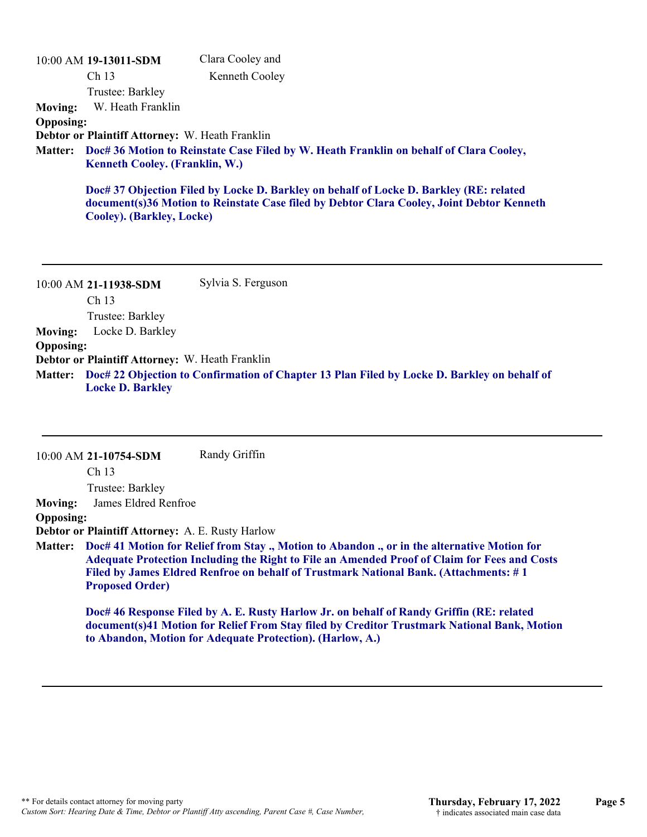| Clara Cooley and                                                                                                                                                                                                          |
|---------------------------------------------------------------------------------------------------------------------------------------------------------------------------------------------------------------------------|
| Kenneth Cooley                                                                                                                                                                                                            |
|                                                                                                                                                                                                                           |
|                                                                                                                                                                                                                           |
|                                                                                                                                                                                                                           |
|                                                                                                                                                                                                                           |
| Matter: Doc# 36 Motion to Reinstate Case Filed by W. Heath Franklin on behalf of Clara Cooley,                                                                                                                            |
| Doc# 37 Objection Filed by Locke D. Barkley on behalf of Locke D. Barkley (RE: related<br>document(s)36 Motion to Reinstate Case filed by Debtor Clara Cooley, Joint Debtor Kenneth                                       |
| 10:00 AM 19-13011-SDM<br>Ch <sub>13</sub><br>Trustee: Barkley<br>W. Heath Franklin<br><b>Debtor or Plaintiff Attorney: W. Heath Franklin</b><br><b>Kenneth Cooley. (Franklin, W.)</b><br><b>Cooley). (Barkley, Locke)</b> |

10:00 AM **21-11938-SDM**  Ch 13 Trustee: Barkley Sylvia S. Ferguson **Moving:** Locke D. Barkley **Opposing: Debtor or Plaintiff Attorney:** W. Heath Franklin **Doc# 22 Objection to Confirmation of Chapter 13 Plan Filed by Locke D. Barkley on behalf of Matter: Locke D. Barkley**

|                  | 10:00 AM 21-10754-SDM                                   | Randy Griffin                                                                                                                                                                                                                                                                                |
|------------------|---------------------------------------------------------|----------------------------------------------------------------------------------------------------------------------------------------------------------------------------------------------------------------------------------------------------------------------------------------------|
|                  | Ch <sub>13</sub>                                        |                                                                                                                                                                                                                                                                                              |
|                  | Trustee: Barkley                                        |                                                                                                                                                                                                                                                                                              |
| <b>Moving:</b>   | James Eldred Renfroe                                    |                                                                                                                                                                                                                                                                                              |
| <b>Opposing:</b> |                                                         |                                                                                                                                                                                                                                                                                              |
|                  | <b>Debtor or Plaintiff Attorney: A. E. Rusty Harlow</b> |                                                                                                                                                                                                                                                                                              |
|                  | <b>Proposed Order)</b>                                  | Matter: Doc# 41 Motion for Relief from Stay ., Motion to Abandon ., or in the alternative Motion for<br>Adequate Protection Including the Right to File an Amended Proof of Claim for Fees and Costs<br>Filed by James Eldred Renfroe on behalf of Trustmark National Bank. (Attachments: #1 |
|                  |                                                         | Doc# 46 Response Filed by A. E. Rusty Harlow Jr. on behalf of Randy Griffin (RE: related<br>document(s)41 Motion for Relief From Stay filed by Creditor Trustmark National Bank, Motion<br>to Abandon, Motion for Adequate Protection). (Harlow, A.)                                         |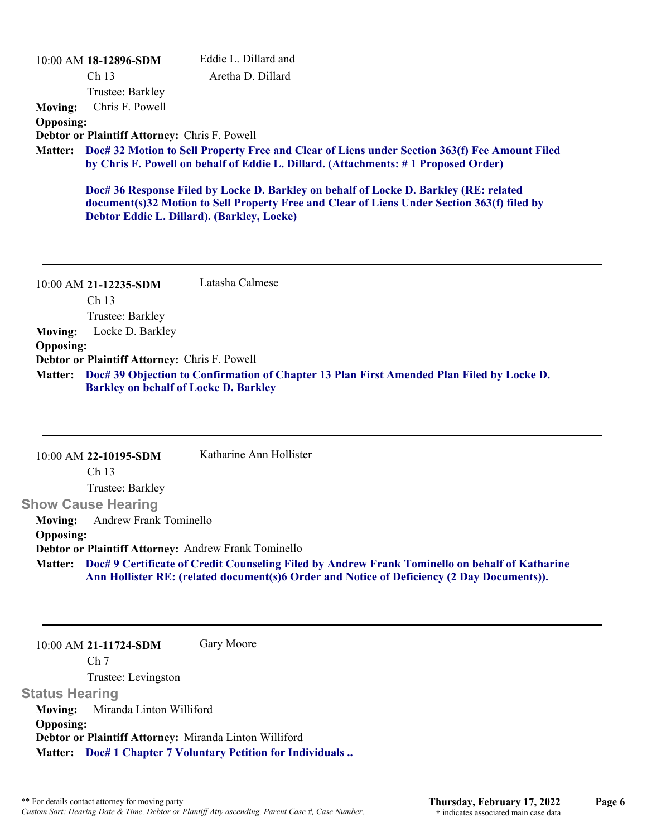|                  | 10:00 AM 18-12896-SDM                                                                                                                                                                       | Eddie L. Dillard and                                                                        |  |  |
|------------------|---------------------------------------------------------------------------------------------------------------------------------------------------------------------------------------------|---------------------------------------------------------------------------------------------|--|--|
|                  | Ch <sub>13</sub>                                                                                                                                                                            | Aretha D. Dillard                                                                           |  |  |
|                  | Trustee: Barkley                                                                                                                                                                            |                                                                                             |  |  |
| <b>Moving:</b>   | Chris F. Powell                                                                                                                                                                             |                                                                                             |  |  |
| <b>Opposing:</b> |                                                                                                                                                                                             |                                                                                             |  |  |
|                  | Debtor or Plaintiff Attorney: Chris F. Powell                                                                                                                                               |                                                                                             |  |  |
|                  | Matter: Doc# 32 Motion to Sell Property Free and Clear of Liens under Section 363(f) Fee Amount Filed<br>by Chris F. Powell on behalf of Eddie L. Dillard. (Attachments: #1 Proposed Order) |                                                                                             |  |  |
|                  |                                                                                                                                                                                             | Doc# 36 Response Filed by Locke D. Barkley on behalf of Locke D. Barkley (RE: related       |  |  |
|                  |                                                                                                                                                                                             | document(s)32 Motion to Sell Property Free and Clear of Liens Under Section 363(f) filed by |  |  |
|                  | Debtor Eddie L. Dillard). (Barkley, Locke)                                                                                                                                                  |                                                                                             |  |  |
|                  |                                                                                                                                                                                             |                                                                                             |  |  |
|                  |                                                                                                                                                                                             |                                                                                             |  |  |
|                  |                                                                                                                                                                                             |                                                                                             |  |  |

10:00 AM **21-12235-SDM**  Ch 13 Trustee: Barkley Latasha Calmese **Moving:** Locke D. Barkley **Opposing: Debtor or Plaintiff Attorney:** Chris F. Powell **Doc# 39 Objection to Confirmation of Chapter 13 Plan First Amended Plan Filed by Locke D. Matter: Barkley on behalf of Locke D. Barkley**

|                  | 10:00 AM 22-10195-SDM         | Katharine Ann Hollister                                                                                                                                                                             |
|------------------|-------------------------------|-----------------------------------------------------------------------------------------------------------------------------------------------------------------------------------------------------|
|                  | Ch <sub>13</sub>              |                                                                                                                                                                                                     |
|                  | Trustee: Barkley              |                                                                                                                                                                                                     |
|                  | <b>Show Cause Hearing</b>     |                                                                                                                                                                                                     |
| <b>Moving:</b>   | <b>Andrew Frank Tominello</b> |                                                                                                                                                                                                     |
| <b>Opposing:</b> |                               |                                                                                                                                                                                                     |
|                  |                               | Debtor or Plaintiff Attorney: Andrew Frank Tominello                                                                                                                                                |
|                  |                               | Matter: Doc#9 Certificate of Credit Counseling Filed by Andrew Frank Tominello on behalf of Katharine<br>Ann Hollister RE: (related document(s)6 Order and Notice of Deficiency (2 Day Documents)). |
|                  |                               |                                                                                                                                                                                                     |

10:00 AM **21-11724-SDM**  Ch 7 Trustee: Levingston **Status Hearing**  Gary Moore **Moving:** Miranda Linton Williford **Opposing: Debtor or Plaintiff Attorney:** Miranda Linton Williford **Matter: Doc# 1 Chapter 7 Voluntary Petition for Individuals ..**